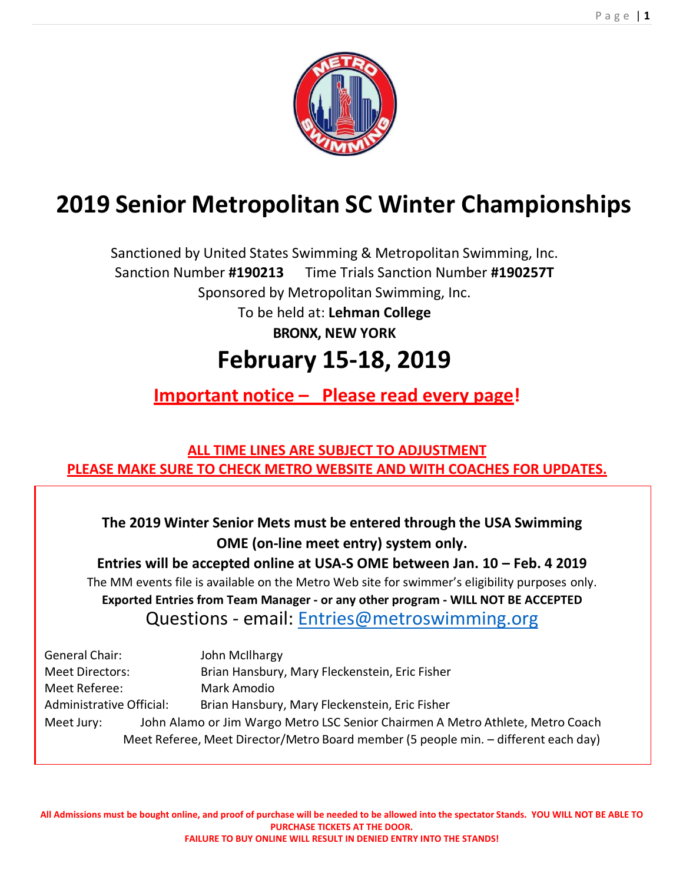

# **2019 Senior Metropolitan SC Winter Championships**

Sanctioned by United States Swimming & Metropolitan Swimming, Inc. Sanction Number **#190213** Time Trials Sanction Number **#190257T** Sponsored by Metropolitan Swimming, Inc. To be held at: **Lehman College BRONX, NEW YORK**

# **February 15‐18, 2019**

**Important notice – Please read every page!** 

**ALL TIME LINES ARE SUBJECT TO ADJUSTMENT PLEASE MAKE SURE TO CHECK METRO WEBSITE AND WITH COACHES FOR UPDATES.** 

**The 2019 Winter Senior Mets must be entered through the USA Swimming OME (on‐line meet entry) system only.**

**Entries will be accepted online at USA‐S OME between Jan. 10 – Feb. 4 2019** The MM events file is available on the Metro Web site for swimmer's eligibility purposes only. **Exported Entries from Team Manager ‐ or any other program ‐ WILL NOT BE ACCEPTED** Questions ‐ email: Entries@metroswimming.org

| General Chair:                                                                      |  | John McIlhargy                                                                 |  |
|-------------------------------------------------------------------------------------|--|--------------------------------------------------------------------------------|--|
| <b>Meet Directors:</b>                                                              |  | Brian Hansbury, Mary Fleckenstein, Eric Fisher                                 |  |
| Meet Referee:                                                                       |  | Mark Amodio                                                                    |  |
| Administrative Official:                                                            |  | Brian Hansbury, Mary Fleckenstein, Eric Fisher                                 |  |
| Meet Jury:                                                                          |  | John Alamo or Jim Wargo Metro LSC Senior Chairmen A Metro Athlete, Metro Coach |  |
| Meet Referee, Meet Director/Metro Board member (5 people min. - different each day) |  |                                                                                |  |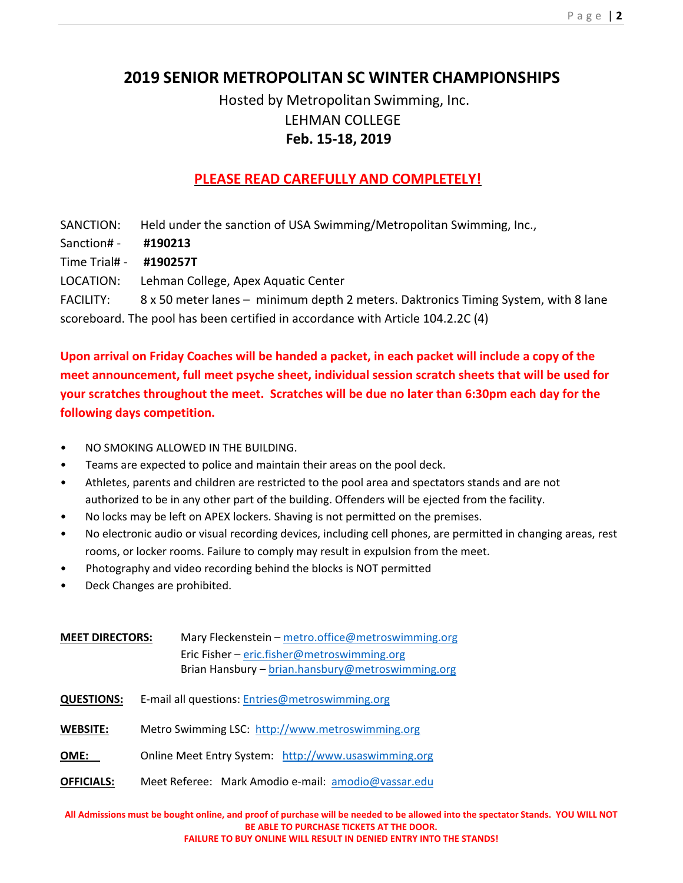# **2019 SENIOR METROPOLITAN SC WINTER CHAMPIONSHIPS**

# Hosted by Metropolitan Swimming, Inc. LEHMAN COLLEGE **Feb. 15‐18, 2019**

# **PLEASE READ CAREFULLY AND COMPLETELY!**

SANCTION: Held under the sanction of USA Swimming/Metropolitan Swimming, Inc., Sanction# ‐ **#190213** Time Trial# ‐ **#190257T** LOCATION: Lehman College, Apex Aquatic Center FACILITY: 8 x 50 meter lanes - minimum depth 2 meters. Daktronics Timing System, with 8 lane scoreboard. The pool has been certified in accordance with Article 104.2.2C (4)

**Upon arrival on Friday Coaches will be handed a packet, in each packet will include a copy of the meet announcement, full meet psyche sheet, individual session scratch sheets that will be used for your scratches throughout the meet. Scratches will be due no later than 6:30pm each day for the following days competition.**

- NO SMOKING ALLOWED IN THE BUILDING.
- Teams are expected to police and maintain their areas on the pool deck.
- Athletes, parents and children are restricted to the pool area and spectators stands and are not authorized to be in any other part of the building. Offenders will be ejected from the facility.
- No locks may be left on APEX lockers. Shaving is not permitted on the premises.
- No electronic audio or visual recording devices, including cell phones, are permitted in changing areas, rest rooms, or locker rooms. Failure to comply may result in expulsion from the meet.
- Photography and video recording behind the blocks is NOT permitted
- Deck Changes are prohibited.

| <b>MEET DIRECTORS:</b> | Mary Fleckenstein - metro.office@metroswimming.org<br>Eric Fisher – eric.fisher@metroswimming.org<br>Brian Hansbury - brian.hansbury@metroswimming.org |
|------------------------|--------------------------------------------------------------------------------------------------------------------------------------------------------|
| <b>QUESTIONS:</b>      | E-mail all questions: Entries@metroswimming.org                                                                                                        |
| <b>WEBSITE:</b>        | Metro Swimming LSC: http://www.metroswimming.org                                                                                                       |
| OME:                   | Online Meet Entry System: http://www.usaswimming.org                                                                                                   |
| <b>OFFICIALS:</b>      | Meet Referee: Mark Amodio e-mail: amodio@vassar.edu                                                                                                    |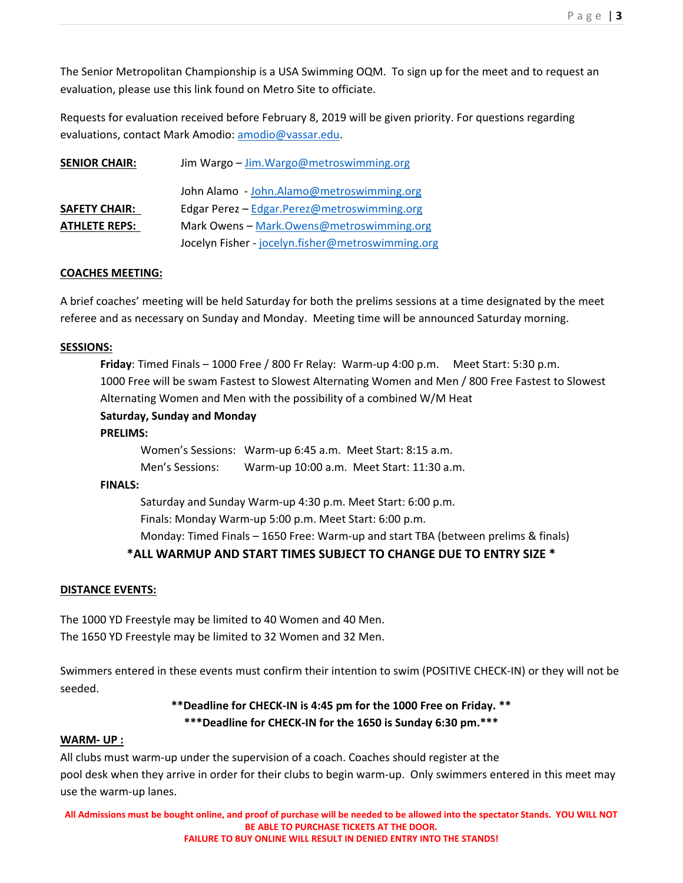The Senior Metropolitan Championship is a USA Swimming OQM. To sign up for the meet and to request an evaluation, please use this link found on Metro Site to officiate.

Requests for evaluation received before February 8, 2019 will be given priority. For questions regarding evaluations, contact Mark Amodio: amodio@vassar.edu.

| <b>SENIOR CHAIR:</b> | Jim Wargo - Jim. Wargo@metroswimming.org          |
|----------------------|---------------------------------------------------|
|                      | John Alamo - John.Alamo@metroswimming.org         |
| <b>SAFETY CHAIR:</b> | Edgar Perez - Edgar.Perez@metroswimming.org       |
| <b>ATHLETE REPS:</b> | Mark Owens - Mark.Owens@metroswimming.org         |
|                      | Jocelyn Fisher - jocelyn.fisher@metroswimming.org |

# **COACHES MEETING:**

A brief coaches' meeting will be held Saturday for both the prelims sessions at a time designated by the meet referee and as necessary on Sunday and Monday. Meeting time will be announced Saturday morning.

#### **SESSIONS:**

**Friday**: Timed Finals – 1000 Free / 800 Fr Relay: Warm‐up 4:00 p.m. Meet Start: 5:30 p.m. 1000 Free will be swam Fastest to Slowest Alternating Women and Men / 800 Free Fastest to Slowest Alternating Women and Men with the possibility of a combined W/M Heat

# **Saturday, Sunday and Monday**

#### **PRELIMS:**

Women's Sessions: Warm‐up 6:45 a.m. Meet Start: 8:15 a.m. Men's Sessions: Warm-up 10:00 a.m. Meet Start: 11:30 a.m.

#### **FINALS:**

Saturday and Sunday Warm‐up 4:30 p.m. Meet Start: 6:00 p.m. Finals: Monday Warm‐up 5:00 p.m. Meet Start: 6:00 p.m.

Monday: Timed Finals – 1650 Free: Warm‐up and start TBA (between prelims & finals)

# **\*ALL WARMUP AND START TIMES SUBJECT TO CHANGE DUE TO ENTRY SIZE \***

#### **DISTANCE EVENTS:**

The 1000 YD Freestyle may be limited to 40 Women and 40 Men. The 1650 YD Freestyle may be limited to 32 Women and 32 Men.

Swimmers entered in these events must confirm their intention to swim (POSITIVE CHECK‐IN) or they will not be seeded.

# **\*\*Deadline for CHECK‐IN is 4:45 pm for the 1000 Free on Friday. \*\* \*\*\*Deadline for CHECK‐IN for the 1650 is Sunday 6:30 pm.\*\*\***

#### **WARM‐ UP :**

All clubs must warm‐up under the supervision of a coach. Coaches should register at the pool desk when they arrive in order for their clubs to begin warm‐up. Only swimmers entered in this meet may use the warm‐up lanes.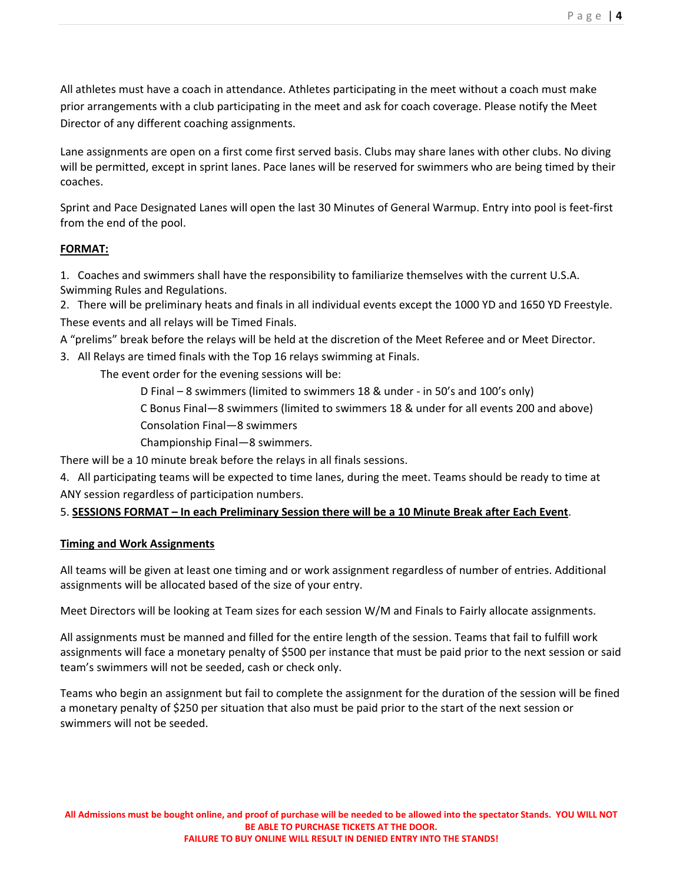All athletes must have a coach in attendance. Athletes participating in the meet without a coach must make prior arrangements with a club participating in the meet and ask for coach coverage. Please notify the Meet Director of any different coaching assignments.

Lane assignments are open on a first come first served basis. Clubs may share lanes with other clubs. No diving will be permitted, except in sprint lanes. Pace lanes will be reserved for swimmers who are being timed by their coaches.

Sprint and Pace Designated Lanes will open the last 30 Minutes of General Warmup. Entry into pool is feet‐first from the end of the pool.

# **FORMAT:**

1. Coaches and swimmers shall have the responsibility to familiarize themselves with the current U.S.A. Swimming Rules and Regulations.

2. There will be preliminary heats and finals in all individual events except the 1000 YD and 1650 YD Freestyle. These events and all relays will be Timed Finals.

A "prelims" break before the relays will be held at the discretion of the Meet Referee and or Meet Director.

3. All Relays are timed finals with the Top 16 relays swimming at Finals.

The event order for the evening sessions will be:

D Final – 8 swimmers (limited to swimmers 18 & under ‐ in 50's and 100's only)

C Bonus Final—8 swimmers (limited to swimmers 18 & under for all events 200 and above)

Consolation Final—8 swimmers

Championship Final—8 swimmers.

There will be a 10 minute break before the relays in all finals sessions.

4. All participating teams will be expected to time lanes, during the meet. Teams should be ready to time at ANY session regardless of participation numbers.

# 5. **SESSIONS FORMAT – In each Preliminary Session there will be a 10 Minute Break after Each Event**.

# **Timing and Work Assignments**

All teams will be given at least one timing and or work assignment regardless of number of entries. Additional assignments will be allocated based of the size of your entry.

Meet Directors will be looking at Team sizes for each session W/M and Finals to Fairly allocate assignments.

All assignments must be manned and filled for the entire length of the session. Teams that fail to fulfill work assignments will face a monetary penalty of \$500 per instance that must be paid prior to the next session or said team's swimmers will not be seeded, cash or check only.

Teams who begin an assignment but fail to complete the assignment for the duration of the session will be fined a monetary penalty of \$250 per situation that also must be paid prior to the start of the next session or swimmers will not be seeded.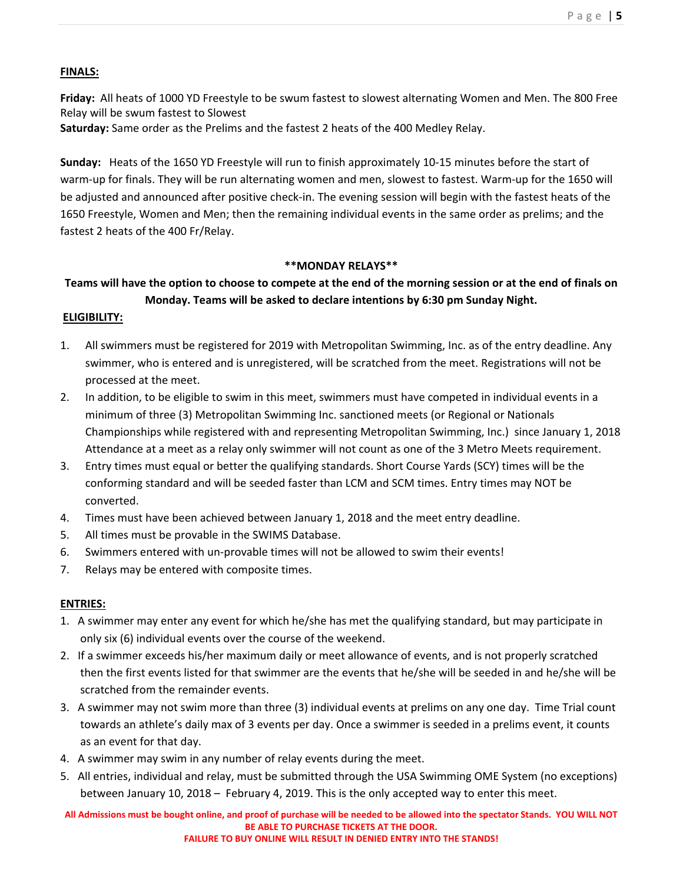Page | **5** 

#### **FINALS:**

**Friday:** All heats of 1000 YD Freestyle to be swum fastest to slowest alternating Women and Men. The 800 Free Relay will be swum fastest to Slowest

**Saturday:** Same order as the Prelims and the fastest 2 heats of the 400 Medley Relay.

**Sunday:** Heats of the 1650 YD Freestyle will run to finish approximately 10‐15 minutes before the start of warm-up for finals. They will be run alternating women and men, slowest to fastest. Warm-up for the 1650 will be adjusted and announced after positive check‐in. The evening session will begin with the fastest heats of the 1650 Freestyle, Women and Men; then the remaining individual events in the same order as prelims; and the fastest 2 heats of the 400 Fr/Relay.

#### **\*\*MONDAY RELAYS\*\***

# **Teams will have the option to choose to compete at the end of the morning session or at the end of finals on Monday. Teams will be asked to declare intentions by 6:30 pm Sunday Night.**

#### **ELIGIBILITY:**

- 1. All swimmers must be registered for 2019 with Metropolitan Swimming, Inc. as of the entry deadline. Any swimmer, who is entered and is unregistered, will be scratched from the meet. Registrations will not be processed at the meet.
- 2. In addition, to be eligible to swim in this meet, swimmers must have competed in individual events in a minimum of three (3) Metropolitan Swimming Inc. sanctioned meets (or Regional or Nationals Championships while registered with and representing Metropolitan Swimming, Inc.) since January 1, 2018 Attendance at a meet as a relay only swimmer will not count as one of the 3 Metro Meets requirement.
- 3. Entry times must equal or better the qualifying standards. Short Course Yards (SCY) times will be the conforming standard and will be seeded faster than LCM and SCM times. Entry times may NOT be converted.
- 4. Times must have been achieved between January 1, 2018 and the meet entry deadline.
- 5. All times must be provable in the SWIMS Database.
- 6. Swimmers entered with un-provable times will not be allowed to swim their events!
- 7. Relays may be entered with composite times.

# **ENTRIES:**

- 1. A swimmer may enter any event for which he/she has met the qualifying standard, but may participate in only six (6) individual events over the course of the weekend.
- 2. If a swimmer exceeds his/her maximum daily or meet allowance of events, and is not properly scratched then the first events listed for that swimmer are the events that he/she will be seeded in and he/she will be scratched from the remainder events.
- 3. A swimmer may not swim more than three (3) individual events at prelims on any one day. Time Trial count towards an athlete's daily max of 3 events per day. Once a swimmer is seeded in a prelims event, it counts as an event for that day.
- 4. A swimmer may swim in any number of relay events during the meet.
- 5. All entries, individual and relay, must be submitted through the USA Swimming OME System (no exceptions) between January 10, 2018 – February 4, 2019. This is the only accepted way to enter this meet.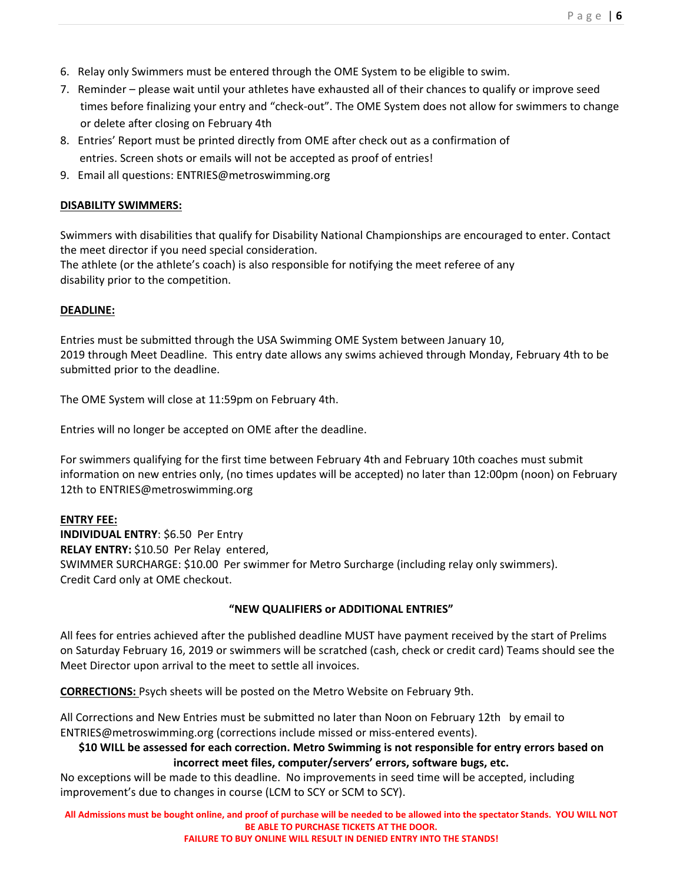- 6. Relay only Swimmers must be entered through the OME System to be eligible to swim.
- 7. Reminder please wait until your athletes have exhausted all of their chances to qualify or improve seed times before finalizing your entry and "check‐out". The OME System does not allow for swimmers to change or delete after closing on February 4th
- 8. Entries' Report must be printed directly from OME after check out as a confirmation of entries. Screen shots or emails will not be accepted as proof of entries!
- 9. Email all questions: ENTRIES@metroswimming.org

# **DISABILITY SWIMMERS:**

Swimmers with disabilities that qualify for Disability National Championships are encouraged to enter. Contact the meet director if you need special consideration.

The athlete (or the athlete's coach) is also responsible for notifying the meet referee of any disability prior to the competition.

# **DEADLINE:**

Entries must be submitted through the USA Swimming OME System between January 10, 2019 through Meet Deadline. This entry date allows any swims achieved through Monday, February 4th to be submitted prior to the deadline.

The OME System will close at 11:59pm on February 4th.

Entries will no longer be accepted on OME after the deadline.

For swimmers qualifying for the first time between February 4th and February 10th coaches must submit information on new entries only, (no times updates will be accepted) no later than 12:00pm (noon) on February 12th to ENTRIES@metroswimming.org

# **ENTRY FEE:**

**INDIVIDUAL ENTRY**: \$6.50 Per Entry **RELAY ENTRY:** \$10.50 Per Relay entered, SWIMMER SURCHARGE: \$10.00 Per swimmer for Metro Surcharge (including relay only swimmers). Credit Card only at OME checkout.

# **"NEW QUALIFIERS or ADDITIONAL ENTRIES"**

All fees for entries achieved after the published deadline MUST have payment received by the start of Prelims on Saturday February 16, 2019 or swimmers will be scratched (cash, check or credit card) Teams should see the Meet Director upon arrival to the meet to settle all invoices.

**CORRECTIONS:** Psych sheets will be posted on the Metro Website on February 9th.

All Corrections and New Entries must be submitted no later than Noon on February 12th by email to ENTRIES@metroswimming.org (corrections include missed or miss-entered events).

# **\$10 WILL be assessed for each correction. Metro Swimming is not responsible for entry errors based on incorrect meet files, computer/servers' errors, software bugs, etc.**

No exceptions will be made to this deadline. No improvements in seed time will be accepted, including improvement's due to changes in course (LCM to SCY or SCM to SCY).

**All Admissions must be bought online, and proof of purchase will be needed to be allowed into the spectator Stands. YOU WILL NOT BE ABLE TO PURCHASE TICKETS AT THE DOOR.** 

**FAILURE TO BUY ONLINE WILL RESULT IN DENIED ENTRY INTO THE STANDS!**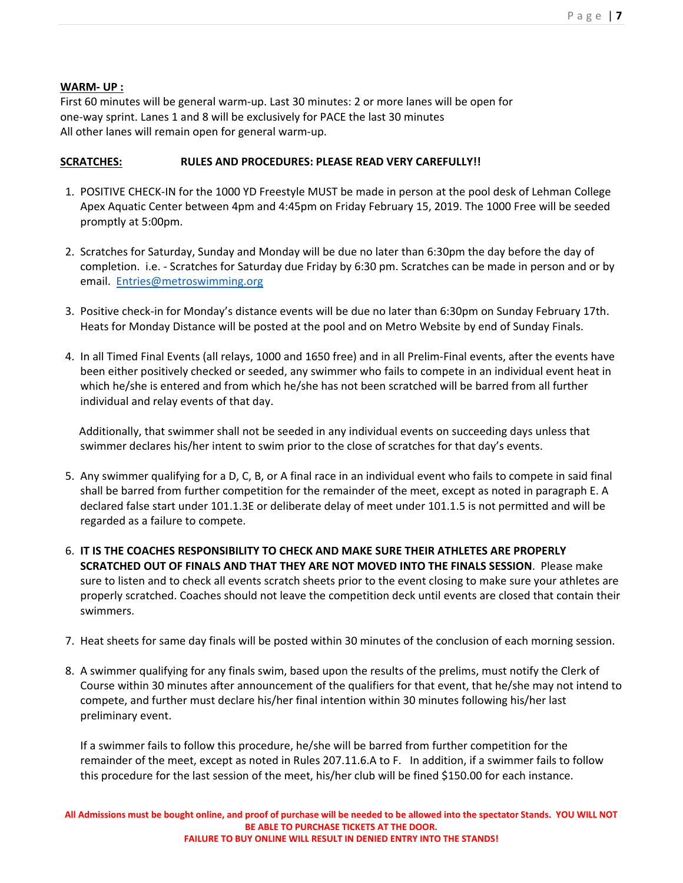# **WARM‐ UP :**

First 60 minutes will be general warm‐up. Last 30 minutes: 2 or more lanes will be open for one‐way sprint. Lanes 1 and 8 will be exclusively for PACE the last 30 minutes All other lanes will remain open for general warm‐up.

# **SCRATCHES: RULES AND PROCEDURES: PLEASE READ VERY CAREFULLY!!**

- 1. POSITIVE CHECK‐IN for the 1000 YD Freestyle MUST be made in person at the pool desk of Lehman College Apex Aquatic Center between 4pm and 4:45pm on Friday February 15, 2019. The 1000 Free will be seeded promptly at 5:00pm.
- 2. Scratches for Saturday, Sunday and Monday will be due no later than 6:30pm the day before the day of completion. i.e. ‐ Scratches for Saturday due Friday by 6:30 pm. Scratches can be made in person and or by email. Entries@metroswimming.org
- 3. Positive check‐in for Monday's distance events will be due no later than 6:30pm on Sunday February 17th. Heats for Monday Distance will be posted at the pool and on Metro Website by end of Sunday Finals.
- 4. In all Timed Final Events (all relays, 1000 and 1650 free) and in all Prelim‐Final events, after the events have been either positively checked or seeded, any swimmer who fails to compete in an individual event heat in which he/she is entered and from which he/she has not been scratched will be barred from all further individual and relay events of that day.

 Additionally, that swimmer shall not be seeded in any individual events on succeeding days unless that swimmer declares his/her intent to swim prior to the close of scratches for that day's events.

- 5. Any swimmer qualifying for a D, C, B, or A final race in an individual event who fails to compete in said final shall be barred from further competition for the remainder of the meet, except as noted in paragraph E. A declared false start under 101.1.3E or deliberate delay of meet under 101.1.5 is not permitted and will be regarded as a failure to compete.
- 6. **IT IS THE COACHES RESPONSIBILITY TO CHECK AND MAKE SURE THEIR ATHLETES ARE PROPERLY SCRATCHED OUT OF FINALS AND THAT THEY ARE NOT MOVED INTO THE FINALS SESSION**. Please make sure to listen and to check all events scratch sheets prior to the event closing to make sure your athletes are properly scratched. Coaches should not leave the competition deck until events are closed that contain their swimmers.
- 7. Heat sheets for same day finals will be posted within 30 minutes of the conclusion of each morning session.
- 8. A swimmer qualifying for any finals swim, based upon the results of the prelims, must notify the Clerk of Course within 30 minutes after announcement of the qualifiers for that event, that he/she may not intend to compete, and further must declare his/her final intention within 30 minutes following his/her last preliminary event.

If a swimmer fails to follow this procedure, he/she will be barred from further competition for the remainder of the meet, except as noted in Rules 207.11.6.A to F. In addition, if a swimmer fails to follow this procedure for the last session of the meet, his/her club will be fined \$150.00 for each instance.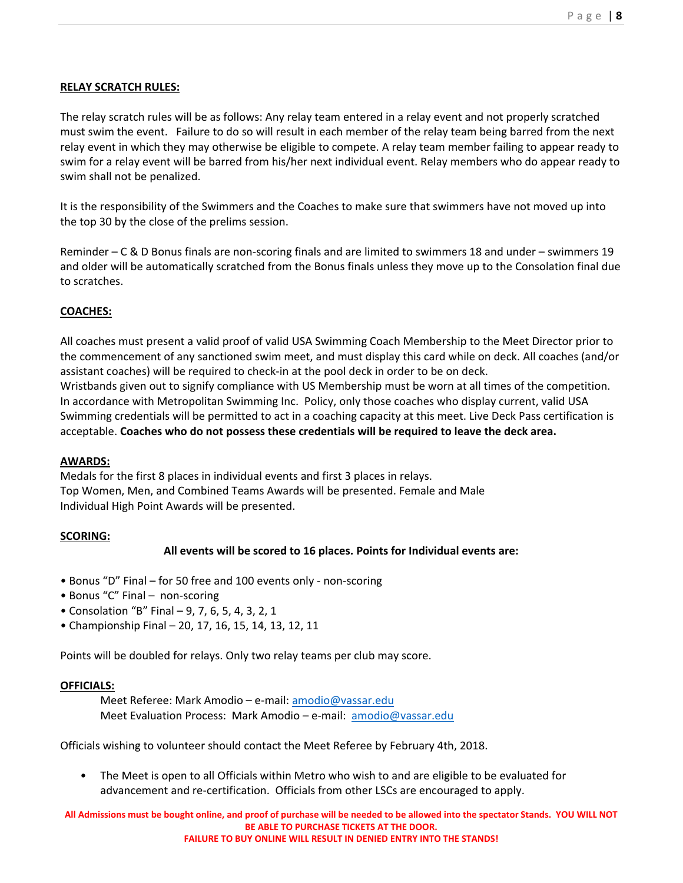#### **RELAY SCRATCH RULES:**

The relay scratch rules will be as follows: Any relay team entered in a relay event and not properly scratched must swim the event. Failure to do so will result in each member of the relay team being barred from the next relay event in which they may otherwise be eligible to compete. A relay team member failing to appear ready to swim for a relay event will be barred from his/her next individual event. Relay members who do appear ready to swim shall not be penalized.

It is the responsibility of the Swimmers and the Coaches to make sure that swimmers have not moved up into the top 30 by the close of the prelims session.

Reminder – C & D Bonus finals are non‐scoring finals and are limited to swimmers 18 and under – swimmers 19 and older will be automatically scratched from the Bonus finals unless they move up to the Consolation final due to scratches.

# **COACHES:**

All coaches must present a valid proof of valid USA Swimming Coach Membership to the Meet Director prior to the commencement of any sanctioned swim meet, and must display this card while on deck. All coaches (and/or assistant coaches) will be required to check‐in at the pool deck in order to be on deck. Wristbands given out to signify compliance with US Membership must be worn at all times of the competition. In accordance with Metropolitan Swimming Inc. Policy, only those coaches who display current, valid USA Swimming credentials will be permitted to act in a coaching capacity at this meet. Live Deck Pass certification is acceptable. **Coaches who do not possess these credentials will be required to leave the deck area.** 

#### **AWARDS:**

Medals for the first 8 places in individual events and first 3 places in relays. Top Women, Men, and Combined Teams Awards will be presented. Female and Male Individual High Point Awards will be presented.

# **SCORING:**

# **All events will be scored to 16 places. Points for Individual events are:**

- Bonus "D" Final for 50 free and 100 events only ‐ non‐scoring
- Bonus "C" Final non‐scoring
- Consolation "B" Final 9, 7, 6, 5, 4, 3, 2, 1
- Championship Final 20, 17, 16, 15, 14, 13, 12, 11

Points will be doubled for relays. Only two relay teams per club may score.

#### **OFFICIALS:**

Meet Referee: Mark Amodio – e‐mail: amodio@vassar.edu Meet Evaluation Process: Mark Amodio – e-mail: amodio@vassar.edu

Officials wishing to volunteer should contact the Meet Referee by February 4th, 2018.

• The Meet is open to all Officials within Metro who wish to and are eligible to be evaluated for advancement and re‐certification. Officials from other LSCs are encouraged to apply.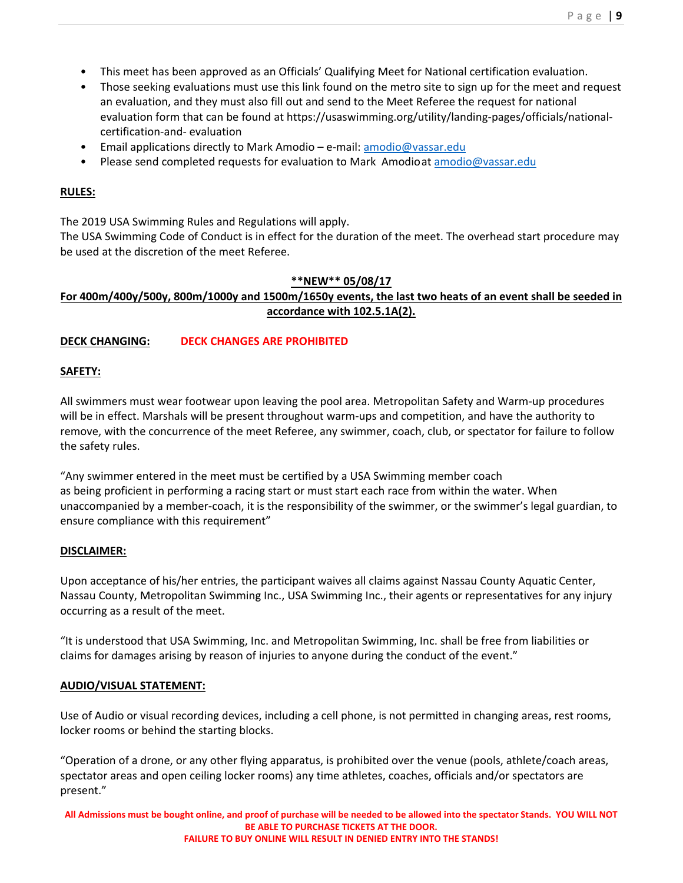- This meet has been approved as an Officials' Qualifying Meet for National certification evaluation.
- Those seeking evaluations must use this link found on the metro site to sign up for the meet and request an evaluation, and they must also fill out and send to the Meet Referee the request for national evaluation form that can be found at https://usaswimming.org/utility/landing‐pages/officials/national‐ certification‐and‐ evaluation
- Email applications directly to Mark Amodio e‐mail: amodio@vassar.edu
- Please send completed requests for evaluation to Mark Amodio at amodio@vassar.edu

# **RULES:**

The 2019 USA Swimming Rules and Regulations will apply.

The USA Swimming Code of Conduct is in effect for the duration of the meet. The overhead start procedure may be used at the discretion of the meet Referee.

#### **\*\*NEW\*\* 05/08/17**

# **For 400m/400y/500y, 800m/1000y and 1500m/1650y events, the last two heats of an event shall be seeded in accordance with 102.5.1A(2).**

# **DECK CHANGING: DECK CHANGES ARE PROHIBITED**

#### **SAFETY:**

All swimmers must wear footwear upon leaving the pool area. Metropolitan Safety and Warm‐up procedures will be in effect. Marshals will be present throughout warm-ups and competition, and have the authority to remove, with the concurrence of the meet Referee, any swimmer, coach, club, or spectator for failure to follow the safety rules.

"Any swimmer entered in the meet must be certified by a USA Swimming member coach as being proficient in performing a racing start or must start each race from within the water. When unaccompanied by a member‐coach, it is the responsibility of the swimmer, or the swimmer's legal guardian, to ensure compliance with this requirement"

#### **DISCLAIMER:**

Upon acceptance of his/her entries, the participant waives all claims against Nassau County Aquatic Center, Nassau County, Metropolitan Swimming Inc., USA Swimming Inc., their agents or representatives for any injury occurring as a result of the meet.

"It is understood that USA Swimming, Inc. and Metropolitan Swimming, Inc. shall be free from liabilities or claims for damages arising by reason of injuries to anyone during the conduct of the event."

# **AUDIO/VISUAL STATEMENT:**

Use of Audio or visual recording devices, including a cell phone, is not permitted in changing areas, rest rooms, locker rooms or behind the starting blocks.

"Operation of a drone, or any other flying apparatus, is prohibited over the venue (pools, athlete/coach areas, spectator areas and open ceiling locker rooms) any time athletes, coaches, officials and/or spectators are present."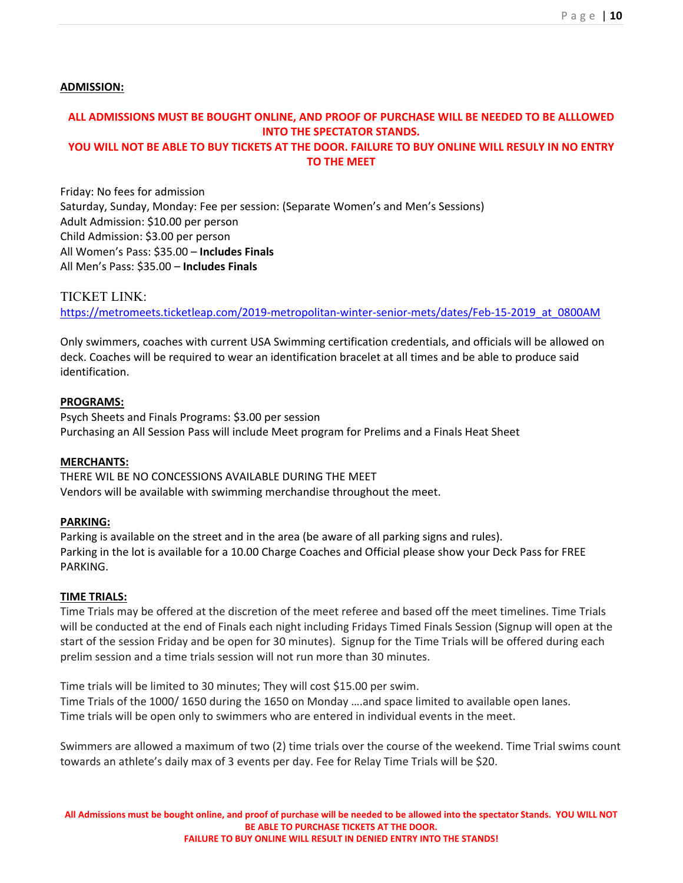#### **ADMISSION:**

# **ALL ADMISSIONS MUST BE BOUGHT ONLINE, AND PROOF OF PURCHASE WILL BE NEEDED TO BE ALLLOWED INTO THE SPECTATOR STANDS. YOU WILL NOT BE ABLE TO BUY TICKETS AT THE DOOR. FAILURE TO BUY ONLINE WILL RESULY IN NO ENTRY**

**TO THE MEET** 

Friday: No fees for admission Saturday, Sunday, Monday: Fee per session: (Separate Women's and Men's Sessions) Adult Admission: \$10.00 per person Child Admission: \$3.00 per person All Women's Pass: \$35.00 – **Includes Finals** All Men's Pass: \$35.00 – **Includes Finals**

# TICKET LINK:

https://metromeets.ticketleap.com/2019-metropolitan-winter-senior-mets/dates/Feb-15-2019\_at\_0800AM

Only swimmers, coaches with current USA Swimming certification credentials, and officials will be allowed on deck. Coaches will be required to wear an identification bracelet at all times and be able to produce said identification.

#### **PROGRAMS:**

Psych Sheets and Finals Programs: \$3.00 per session Purchasing an All Session Pass will include Meet program for Prelims and a Finals Heat Sheet

#### **MERCHANTS:**

THERE WIL BE NO CONCESSIONS AVAILABLE DURING THE MEET Vendors will be available with swimming merchandise throughout the meet.

#### **PARKING:**

Parking is available on the street and in the area (be aware of all parking signs and rules). Parking in the lot is available for a 10.00 Charge Coaches and Official please show your Deck Pass for FREE PARKING.

#### **TIME TRIALS:**

Time Trials may be offered at the discretion of the meet referee and based off the meet timelines. Time Trials will be conducted at the end of Finals each night including Fridays Timed Finals Session (Signup will open at the start of the session Friday and be open for 30 minutes). Signup for the Time Trials will be offered during each prelim session and a time trials session will not run more than 30 minutes.

Time trials will be limited to 30 minutes; They will cost \$15.00 per swim. Time Trials of the 1000/ 1650 during the 1650 on Monday ….and space limited to available open lanes. Time trials will be open only to swimmers who are entered in individual events in the meet.

Swimmers are allowed a maximum of two (2) time trials over the course of the weekend. Time Trial swims count towards an athlete's daily max of 3 events per day. Fee for Relay Time Trials will be \$20.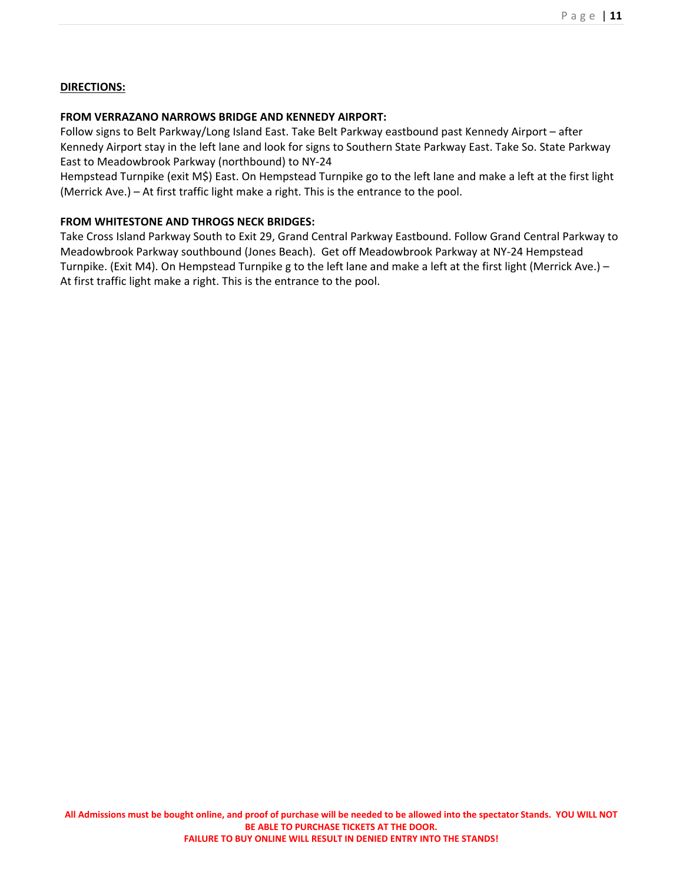# **DIRECTIONS:**

# **FROM VERRAZANO NARROWS BRIDGE AND KENNEDY AIRPORT:**

Follow signs to Belt Parkway/Long Island East. Take Belt Parkway eastbound past Kennedy Airport – after Kennedy Airport stay in the left lane and look for signs to Southern State Parkway East. Take So. State Parkway East to Meadowbrook Parkway (northbound) to NY‐24

Hempstead Turnpike (exit M\$) East. On Hempstead Turnpike go to the left lane and make a left at the first light (Merrick Ave.) – At first traffic light make a right. This is the entrance to the pool.

# **FROM WHITESTONE AND THROGS NECK BRIDGES:**

Take Cross Island Parkway South to Exit 29, Grand Central Parkway Eastbound. Follow Grand Central Parkway to Meadowbrook Parkway southbound (Jones Beach). Get off Meadowbrook Parkway at NY‐24 Hempstead Turnpike. (Exit M4). On Hempstead Turnpike g to the left lane and make a left at the first light (Merrick Ave.) – At first traffic light make a right. This is the entrance to the pool.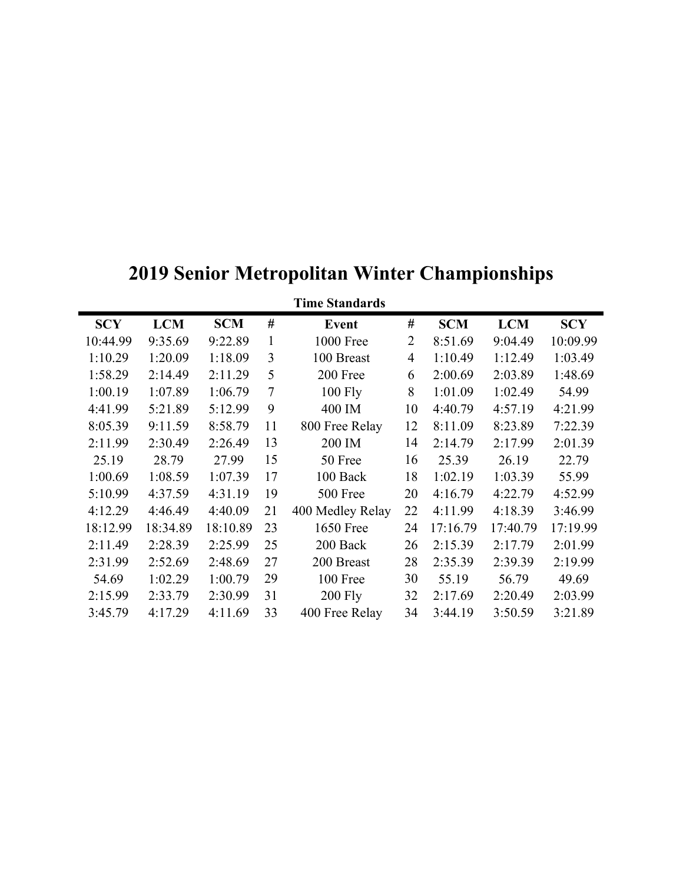| <b>Time Standards</b> |            |            |                |                  |                |            |            |            |
|-----------------------|------------|------------|----------------|------------------|----------------|------------|------------|------------|
| <b>SCY</b>            | <b>LCM</b> | <b>SCM</b> | $^{\#}$        | <b>Event</b>     | $^{\#}$        | <b>SCM</b> | <b>LCM</b> | <b>SCY</b> |
| 10:44.99              | 9:35.69    | 9:22.89    | 1              | <b>1000 Free</b> | $\overline{2}$ | 8:51.69    | 9:04.49    | 10:09.99   |
| 1:10.29               | 1:20.09    | 1:18.09    | 3              | 100 Breast       | $\overline{4}$ | 1:10.49    | 1:12.49    | 1:03.49    |
| 1:58.29               | 2:14.49    | 2:11.29    | 5              | 200 Free         | 6              | 2:00.69    | 2:03.89    | 1:48.69    |
| 1:00.19               | 1:07.89    | 1:06.79    | $\overline{7}$ | $100$ Fly        | 8              | 1:01.09    | 1:02.49    | 54.99      |
| 4:41.99               | 5:21.89    | 5:12.99    | 9              | 400 IM           | 10             | 4:40.79    | 4:57.19    | 4:21.99    |
| 8:05.39               | 9:11.59    | 8:58.79    | 11             | 800 Free Relay   | 12             | 8:11.09    | 8:23.89    | 7:22.39    |
| 2:11.99               | 2:30.49    | 2:26.49    | 13             | 200 IM           | 14             | 2:14.79    | 2:17.99    | 2:01.39    |
| 25.19                 | 28.79      | 27.99      | 15             | 50 Free          | 16             | 25.39      | 26.19      | 22.79      |
| 1:00.69               | 1:08.59    | 1:07.39    | 17             | 100 Back         | 18             | 1:02.19    | 1:03.39    | 55.99      |
| 5:10.99               | 4:37.59    | 4:31.19    | 19             | 500 Free         | 20             | 4:16.79    | 4:22.79    | 4:52.99    |
| 4:12.29               | 4:46.49    | 4:40.09    | 21             | 400 Medley Relay | 22             | 4:11.99    | 4:18.39    | 3:46.99    |
| 18:12.99              | 18:34.89   | 18:10.89   | 23             | <b>1650 Free</b> | 24             | 17:16.79   | 17:40.79   | 17:19.99   |
| 2:11.49               | 2:28.39    | 2:25.99    | 25             | 200 Back         | 26             | 2:15.39    | 2:17.79    | 2:01.99    |
| 2:31.99               | 2:52.69    | 2:48.69    | 27             | 200 Breast       | 28             | 2:35.39    | 2:39.39    | 2:19.99    |
| 54.69                 | 1:02.29    | 1:00.79    | 29             | 100 Free         | 30             | 55.19      | 56.79      | 49.69      |
| 2:15.99               | 2:33.79    | 2:30.99    | 31             | <b>200 Fly</b>   | 32             | 2:17.69    | 2:20.49    | 2:03.99    |
| 3:45.79               | 4:17.29    | 4:11.69    | 33             | 400 Free Relay   | 34             | 3:44.19    | 3:50.59    | 3:21.89    |

# **2019 Senior Metropolitan Winter Championships**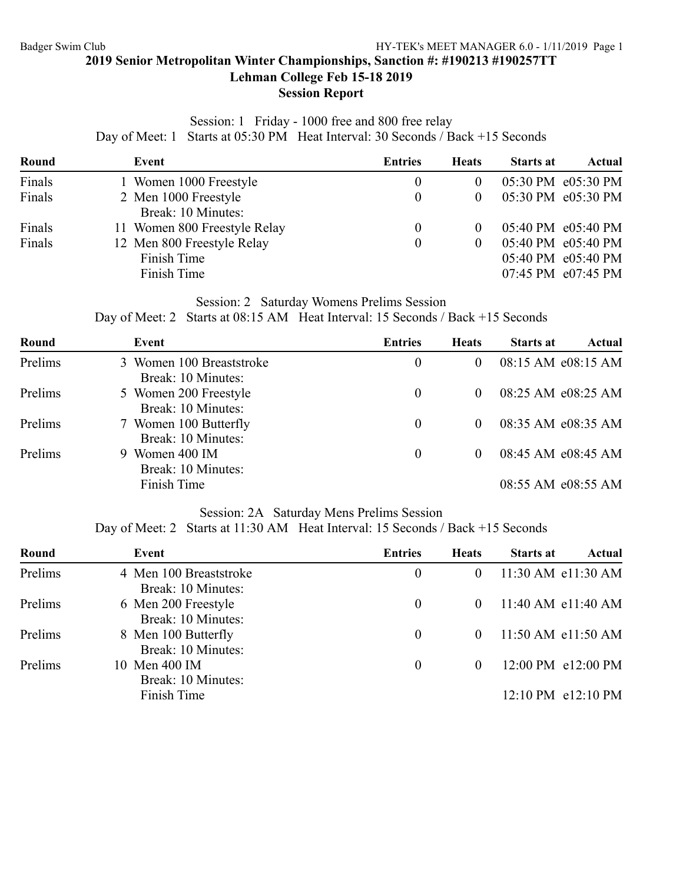# **Lehman College Feb 15-18 2019**

# **Session Report**

# Session: 1 Friday - 1000 free and 800 free relay Day of Meet: 1 Starts at 05:30 PM Heat Interval: 30 Seconds / Back +15 Seconds

| Round  | Event                                                    | <b>Entries</b>   | <b>Heats</b> | <b>Starts at</b> | Actual                                                         |
|--------|----------------------------------------------------------|------------------|--------------|------------------|----------------------------------------------------------------|
| Finals | 1 Women 1000 Freestyle                                   | $\theta$         | $_{0}$       |                  | 05:30 PM e05:30 PM                                             |
| Finals | 2 Men 1000 Freestyle<br>Break: 10 Minutes:               | $\theta$         | 0            |                  | 05:30 PM e05:30 PM                                             |
| Finals | 11 Women 800 Freestyle Relay                             | $\theta$         | 0            |                  | 05:40 PM e05:40 PM                                             |
| Finals | 12 Men 800 Freestyle Relay<br>Finish Time<br>Finish Time | $\boldsymbol{0}$ | $\Omega$     |                  | 05:40 PM e05:40 PM<br>05:40 PM e05:40 PM<br>07:45 PM e07:45 PM |

# Session: 2 Saturday Womens Prelims Session

# Day of Meet: 2 Starts at 08:15 AM Heat Interval: 15 Seconds / Back +15 Seconds

| Round   | Event                                          | <b>Entries</b> | <b>Heats</b> | <b>Starts at</b> | Actual             |
|---------|------------------------------------------------|----------------|--------------|------------------|--------------------|
| Prelims | 3 Women 100 Breaststroke<br>Break: 10 Minutes: | $\theta$       | $\theta$     |                  | 08:15 AM e08:15 AM |
| Prelims | 5 Women 200 Freestyle<br>Break: 10 Minutes:    | $\theta$       | $\theta$     |                  | 08:25 AM e08:25 AM |
| Prelims | 7 Women 100 Butterfly<br>Break: 10 Minutes:    | $\theta$       | $\theta$     |                  | 08:35 AM e08:35 AM |
| Prelims | 9 Women 400 IM<br>Break: 10 Minutes:           | $\bf{0}$       | $\theta$     |                  | 08:45 AM e08:45 AM |
|         | Finish Time                                    |                |              |                  | 08:55 AM e08:55 AM |

# Session: 2A Saturday Mens Prelims Session

Day of Meet: 2 Starts at 11:30 AM Heat Interval: 15 Seconds / Back +15 Seconds

| Round   | Event                                        | <b>Entries</b> | <b>Heats</b> | <b>Starts at</b> | Actual                        |
|---------|----------------------------------------------|----------------|--------------|------------------|-------------------------------|
| Prelims | 4 Men 100 Breaststroke<br>Break: 10 Minutes: | $\theta$       | $\theta$     |                  | 11:30 AM e11:30 AM            |
| Prelims | 6 Men 200 Freestyle<br>Break: 10 Minutes:    | $\theta$       | $\theta$     |                  | 11:40 AM e11:40 AM            |
| Prelims | 8 Men 100 Butterfly<br>Break: 10 Minutes:    | $\theta$       | $\Omega$     |                  | $11:50$ AM $e11:50$ AM        |
| Prelims | 10 Men 400 IM<br>Break: 10 Minutes:          | $\theta$       | $\theta$     |                  | 12:00 PM e12:00 PM            |
|         | Finish Time                                  |                |              |                  | $12:10 \text{ PM }$ e12:10 PM |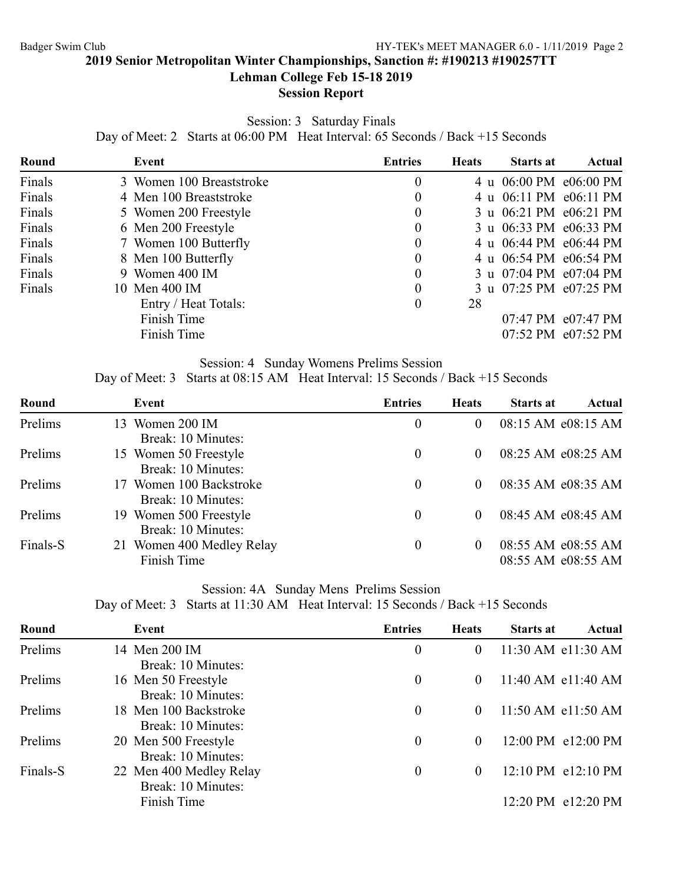# **Lehman College Feb 15-18 2019**

# **Session Report**

Session: 3 Saturday Finals

Day of Meet: 2 Starts at 06:00 PM Heat Interval: 65 Seconds / Back +15 Seconds

| Event                | <b>Entries</b>                                                                                                                                                                        |    | <b>Starts at</b> | Actual                                                                                                                                                                                                       |
|----------------------|---------------------------------------------------------------------------------------------------------------------------------------------------------------------------------------|----|------------------|--------------------------------------------------------------------------------------------------------------------------------------------------------------------------------------------------------------|
|                      | 0                                                                                                                                                                                     |    |                  |                                                                                                                                                                                                              |
|                      | $\boldsymbol{0}$                                                                                                                                                                      |    |                  |                                                                                                                                                                                                              |
|                      | $\theta$                                                                                                                                                                              |    |                  |                                                                                                                                                                                                              |
|                      | $\theta$                                                                                                                                                                              |    |                  |                                                                                                                                                                                                              |
|                      | $\theta$                                                                                                                                                                              |    |                  |                                                                                                                                                                                                              |
|                      | $\boldsymbol{0}$                                                                                                                                                                      |    |                  |                                                                                                                                                                                                              |
|                      | $\boldsymbol{0}$                                                                                                                                                                      |    |                  |                                                                                                                                                                                                              |
|                      | $\theta$                                                                                                                                                                              |    |                  |                                                                                                                                                                                                              |
| Entry / Heat Totals: | $\theta$                                                                                                                                                                              | 28 |                  |                                                                                                                                                                                                              |
| Finish Time          |                                                                                                                                                                                       |    |                  | 07:47 PM e07:47 PM                                                                                                                                                                                           |
| Finish Time          |                                                                                                                                                                                       |    |                  | 07:52 PM e07:52 PM                                                                                                                                                                                           |
|                      | 3 Women 100 Breaststroke<br>4 Men 100 Breaststroke<br>5 Women 200 Freestyle<br>6 Men 200 Freestyle<br>7 Women 100 Butterfly<br>8 Men 100 Butterfly<br>9 Women 400 IM<br>10 Men 400 IM |    | <b>Heats</b>     | 4 u 06:00 PM e06:00 PM<br>4 u 06:11 PM e06:11 PM<br>3 u 06:21 PM e06:21 PM<br>3 u 06:33 PM e06:33 PM<br>4 u 06:44 PM e06:44 PM<br>4 u 06:54 PM e06:54 PM<br>3 u 07:04 PM e07:04 PM<br>3 u 07:25 PM e07:25 PM |

# Session: 4 Sunday Womens Prelims Session

Day of Meet: 3 Starts at 08:15 AM Heat Interval: 15 Seconds / Back +15 Seconds

| Round    | Event                     | <b>Entries</b>   | <b>Heats</b> | <b>Starts at</b> | Actual             |
|----------|---------------------------|------------------|--------------|------------------|--------------------|
| Prelims  | 13 Women 200 IM           | $\boldsymbol{0}$ | $\theta$     |                  | 08:15 AM e08:15 AM |
|          | Break: 10 Minutes:        |                  |              |                  |                    |
| Prelims  | 15 Women 50 Freestyle     | $\theta$         | $\theta$     |                  | 08:25 AM e08:25 AM |
|          | Break: 10 Minutes:        |                  |              |                  |                    |
| Prelims  | 17 Women 100 Backstroke   | $\bf{0}$         | $\Omega$     |                  | 08:35 AM e08:35 AM |
|          | Break: 10 Minutes:        |                  |              |                  |                    |
| Prelims  | 19 Women 500 Freestyle    | $\theta$         | $\theta$     |                  | 08:45 AM e08:45 AM |
|          | Break: 10 Minutes:        |                  |              |                  |                    |
| Finals-S | 21 Women 400 Medley Relay | $\bf{0}$         | $\Omega$     |                  | 08:55 AM e08:55 AM |
|          | Finish Time               |                  |              |                  | 08:55 AM e08:55 AM |
|          |                           |                  |              |                  |                    |

# Session: 4A Sunday Mens Prelims Session

|  |  |  |  | Day of Meet: 3 Starts at 11:30 AM Heat Interval: 15 Seconds / Back +15 Seconds |
|--|--|--|--|--------------------------------------------------------------------------------|
|--|--|--|--|--------------------------------------------------------------------------------|

| Round    | Event                                         | <b>Entries</b>   | <b>Heats</b> | <b>Starts at</b> | <b>Actual</b>      |
|----------|-----------------------------------------------|------------------|--------------|------------------|--------------------|
| Prelims  | 14 Men 200 IM<br>Break: 10 Minutes:           | $\theta$         | $\theta$     |                  | 11:30 AM e11:30 AM |
| Prelims  | 16 Men 50 Freestyle<br>Break: 10 Minutes:     | $\theta$         | $\theta$     |                  | 11:40 AM e11:40 AM |
| Prelims  | 18 Men 100 Backstroke<br>Break: 10 Minutes:   | $\theta$         | $\theta$     |                  | 11:50 AM e11:50 AM |
| Prelims  | 20 Men 500 Freestyle<br>Break: 10 Minutes:    | $\theta$         | $\theta$     |                  | 12:00 PM e12:00 PM |
| Finals-S | 22 Men 400 Medley Relay<br>Break: 10 Minutes: | $\boldsymbol{0}$ | $\theta$     |                  | 12:10 PM e12:10 PM |
|          | Finish Time                                   |                  |              |                  | 12:20 PM e12:20 PM |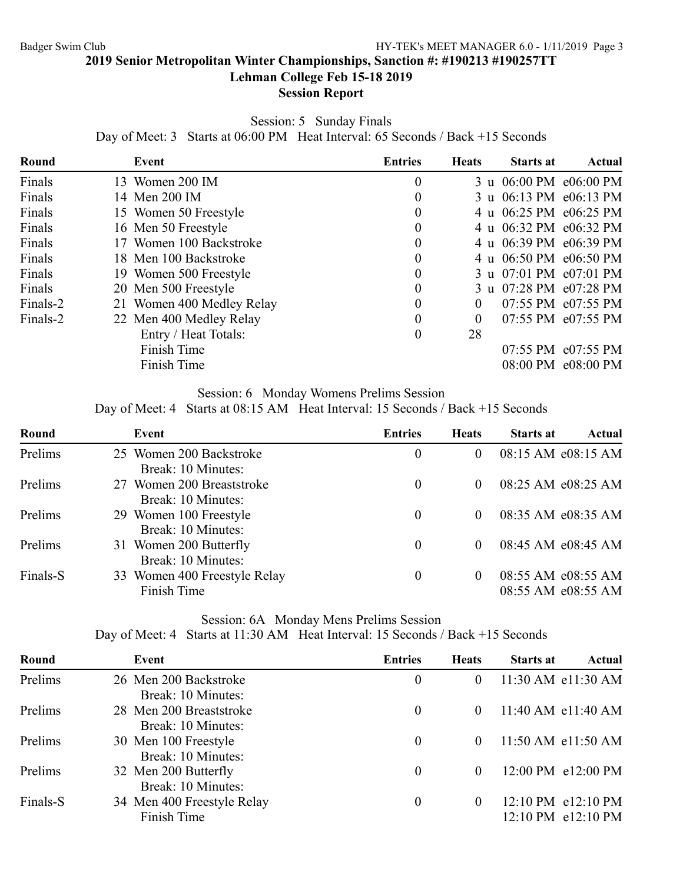**Lehman College Feb 15-18 2019**

# **Session Report**

Session: 5 Sunday Finals

Day of Meet: 3 Starts at 06:00 PM Heat Interval: 65 Seconds / Back +15 Seconds

| Round    | Event                     | <b>Entries</b>   | <b>Heats</b> | <b>Starts at</b> | Actual                 |
|----------|---------------------------|------------------|--------------|------------------|------------------------|
| Finals   | 13 Women 200 IM           | $\boldsymbol{0}$ |              |                  | 3 u 06:00 PM e06:00 PM |
| Finals   | 14 Men 200 IM             | $\boldsymbol{0}$ |              |                  | 3 u 06:13 PM e06:13 PM |
| Finals   | 15 Women 50 Freestyle     | $\theta$         |              |                  | 4 u 06:25 PM e06:25 PM |
| Finals   | 16 Men 50 Freestyle       | $\boldsymbol{0}$ |              |                  | 4 u 06:32 PM e06:32 PM |
| Finals   | 17 Women 100 Backstroke   | $\overline{0}$   |              |                  | 4 u 06:39 PM e06:39 PM |
| Finals   | 18 Men 100 Backstroke     | $\theta$         |              |                  | 4 u 06:50 PM e06:50 PM |
| Finals   | 19 Women 500 Freestyle    | $\boldsymbol{0}$ |              |                  | 3 u 07:01 PM e07:01 PM |
| Finals   | 20 Men 500 Freestyle      | $\overline{0}$   |              |                  | 3 u 07:28 PM e07:28 PM |
| Finals-2 | 21 Women 400 Medley Relay | $\boldsymbol{0}$ | $\theta$     |                  | 07:55 PM e07:55 PM     |
| Finals-2 | 22 Men 400 Medley Relay   | $\theta$         | 0            |                  | 07:55 PM e07:55 PM     |
|          | Entry / Heat Totals:      | $\theta$         | 28           |                  |                        |
|          | Finish Time               |                  |              |                  | 07:55 PM e07:55 PM     |
|          | Finish Time               |                  |              |                  | 08:00 PM e08:00 PM     |

# Session: 6 Monday Womens Prelims Session

Day of Meet: 4 Starts at 08:15 AM Heat Interval: 15 Seconds / Back +15 Seconds

| Round    | Event                                                             | <b>Entries</b> | <b>Heats</b> | <b>Starts at</b> | Actual                                   |
|----------|-------------------------------------------------------------------|----------------|--------------|------------------|------------------------------------------|
| Prelims  | 25 Women 200 Backstroke<br>Break: 10 Minutes:                     | $\overline{0}$ | $\theta$     |                  | 08:15 AM e08:15 AM                       |
| Prelims  | 27 Women 200 Breaststroke                                         | $\theta$       | $\theta$     |                  | 08:25 AM e08:25 AM                       |
| Prelims  | Break: 10 Minutes:<br>29 Women 100 Freestyle                      | $\theta$       | $\theta$     |                  | 08:35 AM e08:35 AM                       |
| Prelims  | Break: 10 Minutes:<br>31 Women 200 Butterfly                      | $\theta$       | $\theta$     |                  | 08:45 AM e08:45 AM                       |
| Finals-S | Break: 10 Minutes:<br>33 Women 400 Freestyle Relay<br>Finish Time | $\theta$       | $\theta$     |                  | 08:55 AM e08:55 AM<br>08:55 AM e08:55 AM |

# Session: 6A Monday Mens Prelims Session

| Round    | Event                      | <b>Entries</b> | <b>Heats</b> | <b>Starts at</b> | Actual                 |
|----------|----------------------------|----------------|--------------|------------------|------------------------|
| Prelims  | 26 Men 200 Backstroke      | 0              | $\theta$     |                  | 11:30 AM e11:30 AM     |
|          | Break: 10 Minutes:         |                |              |                  |                        |
| Prelims  | 28 Men 200 Breaststroke    | $\overline{0}$ | $\theta$     |                  | $11:40$ AM $e11:40$ AM |
|          | Break: 10 Minutes:         |                |              |                  |                        |
| Prelims  | 30 Men 100 Freestyle       | 0              | $\Omega$     |                  | $11:50$ AM $e11:50$ AM |
|          | Break: 10 Minutes:         |                |              |                  |                        |
| Prelims  | 32 Men 200 Butterfly       | 0              | $\theta$     |                  | 12:00 PM e12:00 PM     |
|          | Break: 10 Minutes:         |                |              |                  |                        |
| Finals-S | 34 Men 400 Freestyle Relay | $\overline{0}$ | $\theta$     |                  | 12:10 PM e12:10 PM     |
|          | Finish Time                |                |              |                  | 12:10 PM e12:10 PM     |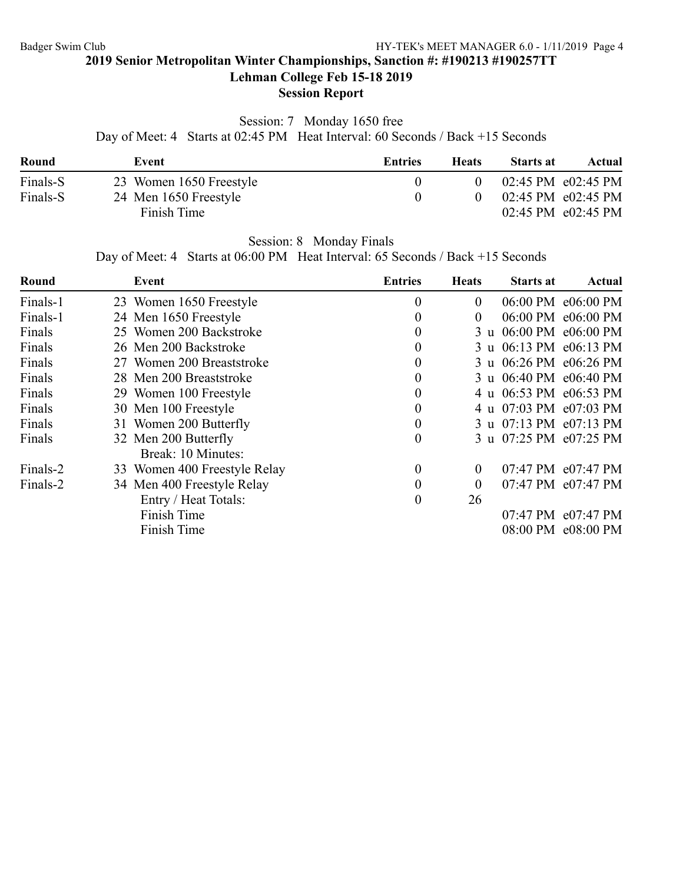**Lehman College Feb 15-18 2019**

# **Session Report**

# Session: 7 Monday 1650 free

Day of Meet: 4 Starts at 02:45 PM Heat Interval: 60 Seconds / Back +15 Seconds

| Round    | Event                                | Entries | <b>Heats</b> | <b>Starts at</b> | Actual                                                                         |
|----------|--------------------------------------|---------|--------------|------------------|--------------------------------------------------------------------------------|
| Finals-S | 23 Women 1650 Freestyle              |         |              |                  | $02:45 \text{ PM } e02:45 \text{ PM}$                                          |
| Finals-S | 24 Men 1650 Freestyle<br>Finish Time |         |              |                  | $02:45 \text{ PM } e02:45 \text{ PM}$<br>$02:45 \text{ PM } e02:45 \text{ PM}$ |

Session: 8 Monday Finals

Day of Meet: 4 Starts at 06:00 PM Heat Interval: 65 Seconds / Back +15 Seconds

| Round    | Event                        | <b>Entries</b>   | <b>Heats</b>   | <b>Starts at</b> | Actual                 |
|----------|------------------------------|------------------|----------------|------------------|------------------------|
| Finals-1 | 23 Women 1650 Freestyle      | $\boldsymbol{0}$ | $\overline{0}$ |                  | 06:00 PM e06:00 PM     |
| Finals-1 | 24 Men 1650 Freestyle        | $\boldsymbol{0}$ | $\overline{0}$ |                  | 06:00 PM e06:00 PM     |
| Finals   | 25 Women 200 Backstroke      | $\boldsymbol{0}$ |                |                  | 3 u 06:00 PM e06:00 PM |
| Finals   | 26 Men 200 Backstroke        | $\theta$         |                |                  | 3 u 06:13 PM e06:13 PM |
| Finals   | 27 Women 200 Breaststroke    | $\boldsymbol{0}$ |                |                  | 3 u 06:26 PM e06:26 PM |
| Finals   | 28 Men 200 Breaststroke      | $\boldsymbol{0}$ |                |                  | 3 u 06:40 PM e06:40 PM |
| Finals   | 29 Women 100 Freestyle       | $\boldsymbol{0}$ |                |                  | 4 u 06:53 PM e06:53 PM |
| Finals   | 30 Men 100 Freestyle         | $\boldsymbol{0}$ |                |                  | 4 u 07:03 PM e07:03 PM |
| Finals   | 31 Women 200 Butterfly       | $\boldsymbol{0}$ |                |                  | 3 u 07:13 PM e07:13 PM |
| Finals   | 32 Men 200 Butterfly         | $\theta$         |                |                  | 3 u 07:25 PM e07:25 PM |
|          | Break: 10 Minutes:           |                  |                |                  |                        |
| Finals-2 | 33 Women 400 Freestyle Relay | $\boldsymbol{0}$ | $\overline{0}$ |                  | 07:47 PM e07:47 PM     |
| Finals-2 | 34 Men 400 Freestyle Relay   | $\theta$         | $\overline{0}$ |                  | 07:47 PM e07:47 PM     |
|          | Entry / Heat Totals:         | $\boldsymbol{0}$ | 26             |                  |                        |
|          | Finish Time                  |                  |                |                  | 07:47 PM e07:47 PM     |
|          | Finish Time                  |                  |                |                  | 08:00 PM e08:00 PM     |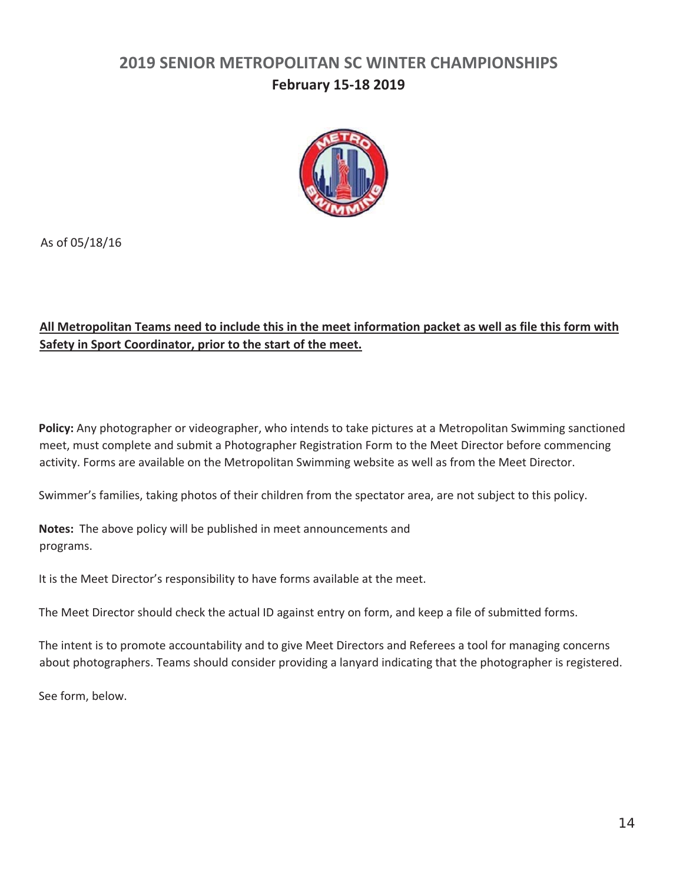# **2019 SENIOR METROPOLITAN SC WINTER CHAMPIONSHIPS February 15‐18 2019**



As of 05/18/16

# **All Metropolitan Teams need to include this in the meet information packet as well as file this form with Safety in Sport Coordinator, prior to the start of the meet.**

**Policy:** Any photographer or videographer, who intends to take pictures at a Metropolitan Swimming sanctioned meet, must complete and submit a Photographer Registration Form to the Meet Director before commencing activity. Forms are available on the Metropolitan Swimming website as well as from the Meet Director.

Swimmer's families, taking photos of their children from the spectator area, are not subject to this policy.

**Notes:** The above policy will be published in meet announcements and programs.

It is the Meet Director's responsibility to have forms available at the meet.

The Meet Director should check the actual ID against entry on form, and keep a file of submitted forms.

The intent is to promote accountability and to give Meet Directors and Referees a tool for managing concerns about photographers. Teams should consider providing a lanyard indicating that the photographer is registered.

See form, below.